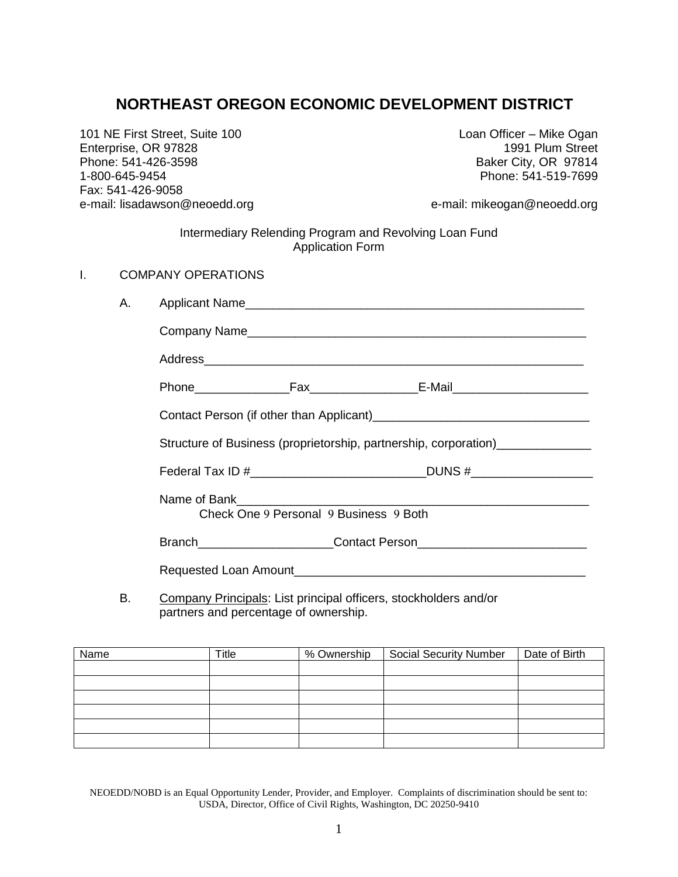# **NORTHEAST OREGON ECONOMIC DEVELOPMENT DISTRICT**

101 NE First Street, Suite 100 Loan Officer – Mike Ogan Enterprise, OR 97828 Phone: 541-426-3598 Baker City, OR 97814 1-800-645-9454 Phone: 541-519-7699 Fax: 541-426-9058 e-mail: lisadawson@neoedd.org e-mail: mikeogan@neoedd.org

Intermediary Relending Program and Revolving Loan Fund Application Form

| <b>COMPANY OPERATIONS</b><br>Ι. |  |
|---------------------------------|--|
|---------------------------------|--|

| А. |                                                                  |                                        |                                                                                  |  |
|----|------------------------------------------------------------------|----------------------------------------|----------------------------------------------------------------------------------|--|
|    |                                                                  |                                        |                                                                                  |  |
|    |                                                                  |                                        |                                                                                  |  |
|    |                                                                  |                                        |                                                                                  |  |
|    |                                                                  |                                        |                                                                                  |  |
|    | Structure of Business (proprietorship, partnership, corporation) |                                        |                                                                                  |  |
|    |                                                                  |                                        | Federal Tax ID #________________________________DUNS #__________________________ |  |
|    |                                                                  | Check One 9 Personal 9 Business 9 Both |                                                                                  |  |
|    |                                                                  |                                        | Branch__________________________Contact Person__________________________________ |  |
|    | Requested Loan Amount                                            |                                        |                                                                                  |  |

B. Company Principals: List principal officers, stockholders and/or partners and percentage of ownership.

| Name | $T$ itle | % Ownership | <b>Social Security Number</b> | Date of Birth |
|------|----------|-------------|-------------------------------|---------------|
|      |          |             |                               |               |
|      |          |             |                               |               |
|      |          |             |                               |               |
|      |          |             |                               |               |
|      |          |             |                               |               |
|      |          |             |                               |               |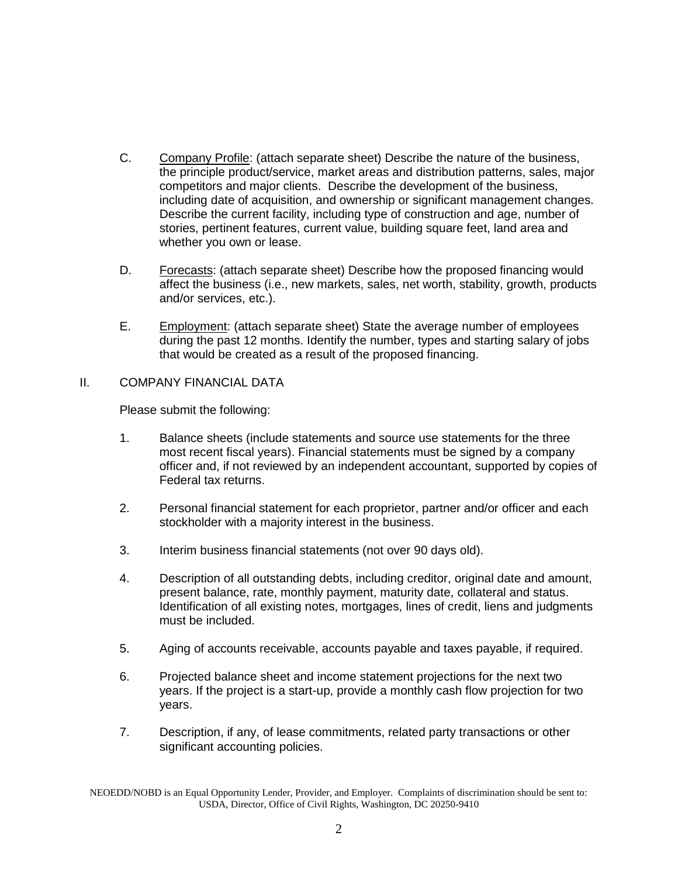- C. Company Profile: (attach separate sheet) Describe the nature of the business, the principle product/service, market areas and distribution patterns, sales, major competitors and major clients. Describe the development of the business, including date of acquisition, and ownership or significant management changes. Describe the current facility, including type of construction and age, number of stories, pertinent features, current value, building square feet, land area and whether you own or lease.
- D. Forecasts: (attach separate sheet) Describe how the proposed financing would affect the business (i.e., new markets, sales, net worth, stability, growth, products and/or services, etc.).
- E. Employment: (attach separate sheet) State the average number of employees during the past 12 months. Identify the number, types and starting salary of jobs that would be created as a result of the proposed financing.

## II. COMPANY FINANCIAL DATA

Please submit the following:

- 1. Balance sheets (include statements and source use statements for the three most recent fiscal years). Financial statements must be signed by a company officer and, if not reviewed by an independent accountant, supported by copies of Federal tax returns.
- 2. Personal financial statement for each proprietor, partner and/or officer and each stockholder with a majority interest in the business.
- 3. Interim business financial statements (not over 90 days old).
- 4. Description of all outstanding debts, including creditor, original date and amount, present balance, rate, monthly payment, maturity date, collateral and status. Identification of all existing notes, mortgages, lines of credit, liens and judgments must be included.
- 5. Aging of accounts receivable, accounts payable and taxes payable, if required.
- 6. Projected balance sheet and income statement projections for the next two years. If the project is a start-up, provide a monthly cash flow projection for two years.
- 7. Description, if any, of lease commitments, related party transactions or other significant accounting policies.

NEOEDD/NOBD is an Equal Opportunity Lender, Provider, and Employer. Complaints of discrimination should be sent to: USDA, Director, Office of Civil Rights, Washington, DC 20250-9410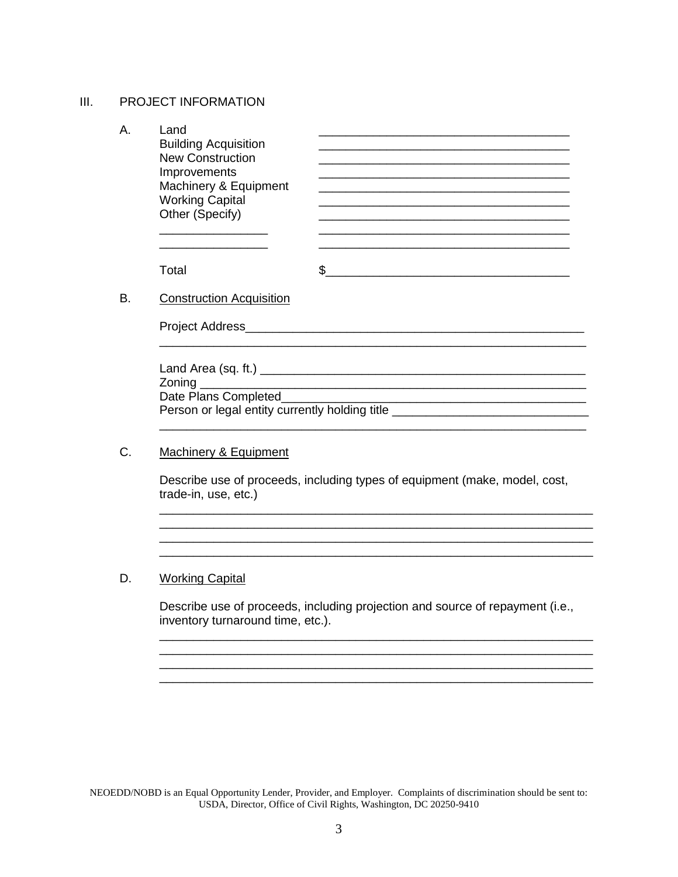#### III. PROJECT INFORMATION

| А. | Land<br><b>Building Acquisition</b><br><b>New Construction</b><br>Improvements<br>Machinery & Equipment<br><b>Working Capital</b><br>Other (Specify) |  |
|----|------------------------------------------------------------------------------------------------------------------------------------------------------|--|
|    | Total                                                                                                                                                |  |
| В. | <b>Construction Acquisition</b>                                                                                                                      |  |

Project Address\_\_\_\_\_\_\_\_\_\_\_\_\_\_\_\_\_\_\_\_\_\_\_\_\_\_\_\_\_\_\_\_\_\_\_\_\_\_\_\_\_\_\_\_\_\_\_\_\_\_

| Land Area (sq. ft.) $\frac{1}{2}$ Land Area (sq. ft.) |
|-------------------------------------------------------|
|                                                       |
| Date Plans Completed                                  |
| Person or legal entity currently holding title        |
|                                                       |

\_\_\_\_\_\_\_\_\_\_\_\_\_\_\_\_\_\_\_\_\_\_\_\_\_\_\_\_\_\_\_\_\_\_\_\_\_\_\_\_\_\_\_\_\_\_\_\_\_\_\_\_\_\_\_\_\_\_\_\_\_\_\_

#### C. Machinery & Equipment

Describe use of proceeds, including types of equipment (make, model, cost, trade-in, use, etc.)

\_\_\_\_\_\_\_\_\_\_\_\_\_\_\_\_\_\_\_\_\_\_\_\_\_\_\_\_\_\_\_\_\_\_\_\_\_\_\_\_\_\_\_\_\_\_\_\_\_\_\_\_\_\_\_\_\_\_\_\_\_\_\_\_ \_\_\_\_\_\_\_\_\_\_\_\_\_\_\_\_\_\_\_\_\_\_\_\_\_\_\_\_\_\_\_\_\_\_\_\_\_\_\_\_\_\_\_\_\_\_\_\_\_\_\_\_\_\_\_\_\_\_\_\_\_\_\_\_

\_\_\_\_\_\_\_\_\_\_\_\_\_\_\_\_\_\_\_\_\_\_\_\_\_\_\_\_\_\_\_\_\_\_\_\_\_\_\_\_\_\_\_\_\_\_\_\_\_\_\_\_\_\_\_\_\_\_\_\_\_\_\_\_

### D. Working Capital

Describe use of proceeds, including projection and source of repayment (i.e., inventory turnaround time, etc.).

\_\_\_\_\_\_\_\_\_\_\_\_\_\_\_\_\_\_\_\_\_\_\_\_\_\_\_\_\_\_\_\_\_\_\_\_\_\_\_\_\_\_\_\_\_\_\_\_\_\_\_\_\_\_\_\_\_\_\_\_\_\_\_\_ \_\_\_\_\_\_\_\_\_\_\_\_\_\_\_\_\_\_\_\_\_\_\_\_\_\_\_\_\_\_\_\_\_\_\_\_\_\_\_\_\_\_\_\_\_\_\_\_\_\_\_\_\_\_\_\_\_\_\_\_\_\_\_\_ \_\_\_\_\_\_\_\_\_\_\_\_\_\_\_\_\_\_\_\_\_\_\_\_\_\_\_\_\_\_\_\_\_\_\_\_\_\_\_\_\_\_\_\_\_\_\_\_\_\_\_\_\_\_\_\_\_\_\_\_\_\_\_\_

NEOEDD/NOBD is an Equal Opportunity Lender, Provider, and Employer. Complaints of discrimination should be sent to: USDA, Director, Office of Civil Rights, Washington, DC 20250-9410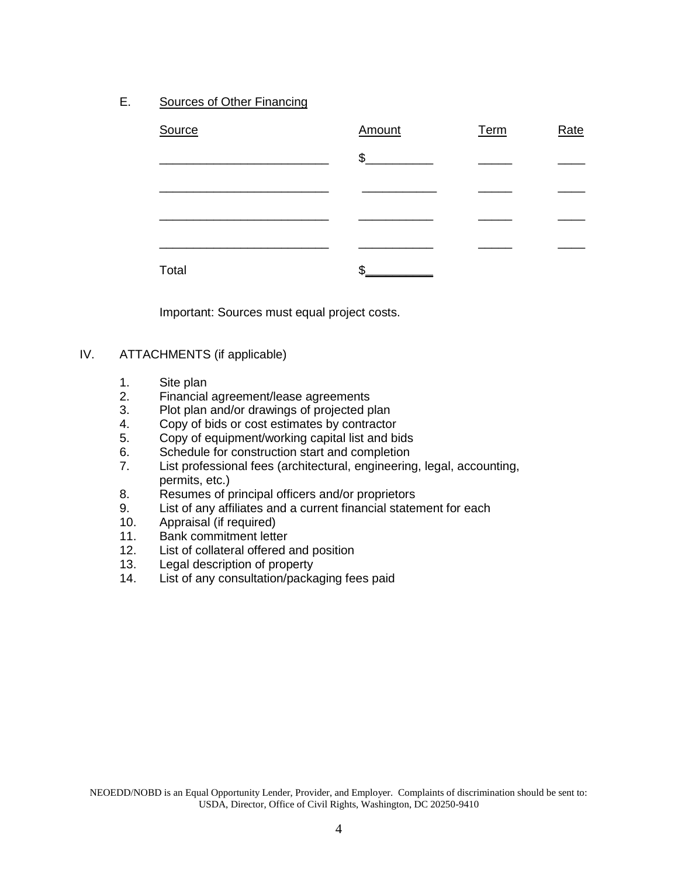E. Sources of Other Financing

| Source | Amount | Term | Rate |
|--------|--------|------|------|
|        | \$     |      |      |
|        |        |      |      |
|        |        |      |      |
|        |        |      |      |
| Total  | ጥ      |      |      |

Important: Sources must equal project costs.

#### IV. ATTACHMENTS (if applicable)

- 1. Site plan<br>2. Financial
- Financial agreement/lease agreements
- 3. Plot plan and/or drawings of projected plan
- 4. Copy of bids or cost estimates by contractor
- 5. Copy of equipment/working capital list and bids
- 6. Schedule for construction start and completion
- 7. List professional fees (architectural, engineering, legal, accounting, permits, etc.)
- 8. Resumes of principal officers and/or proprietors
- 9. List of any affiliates and a current financial statement for each
- 10. Appraisal (if required)
- 11. Bank commitment letter
- 12. List of collateral offered and position
- 13. Legal description of property
- 14. List of any consultation/packaging fees paid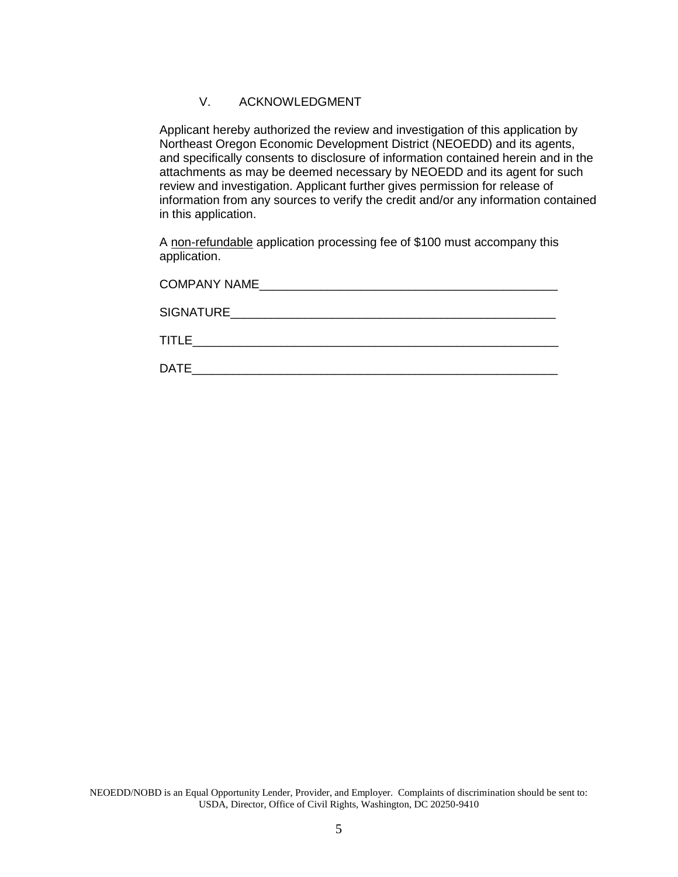#### V. ACKNOWLEDGMENT

Applicant hereby authorized the review and investigation of this application by Northeast Oregon Economic Development District (NEOEDD) and its agents, and specifically consents to disclosure of information contained herein and in the attachments as may be deemed necessary by NEOEDD and its agent for such review and investigation. Applicant further gives permission for release of information from any sources to verify the credit and/or any information contained in this application.

A non-refundable application processing fee of \$100 must accompany this application.

| <b>COMPANY NAME</b> |
|---------------------|
| SIGNATURE           |
| <b>TITLE</b>        |
| <b>DATE</b>         |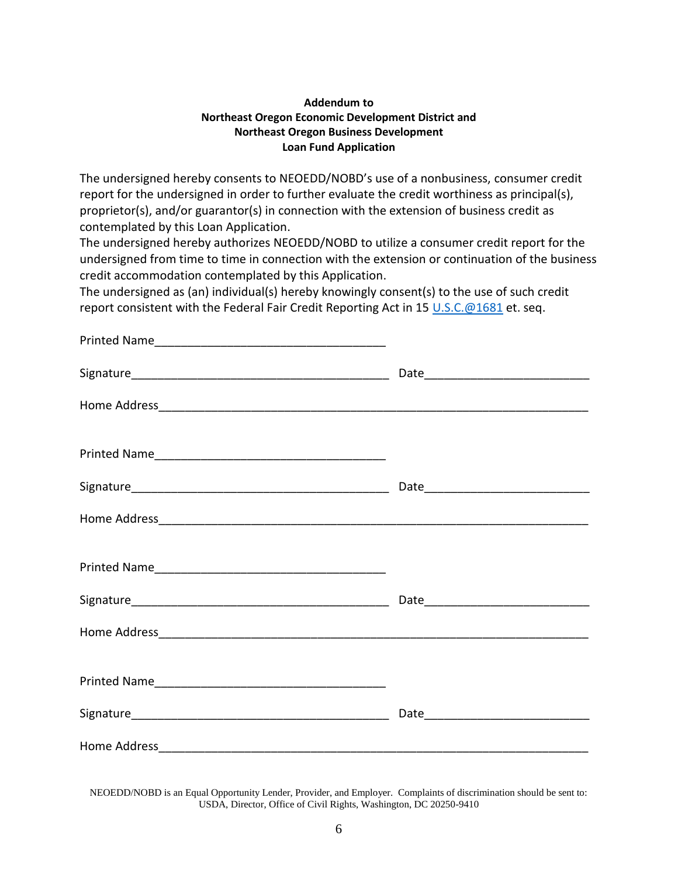#### **Addendum to Northeast Oregon Economic Development District and Northeast Oregon Business Development Loan Fund Application**

The undersigned hereby consents to NEOEDD/NOBD's use of a nonbusiness, consumer credit report for the undersigned in order to further evaluate the credit worthiness as principal(s), proprietor(s), and/or guarantor(s) in connection with the extension of business credit as contemplated by this Loan Application.

The undersigned hereby authorizes NEOEDD/NOBD to utilize a consumer credit report for the undersigned from time to time in connection with the extension or continuation of the business credit accommodation contemplated by this Application.

The undersigned as (an) individual(s) hereby knowingly consent(s) to the use of such credit report consistent with the Federal Fair Credit Reporting Act in 15 [U.S.C.@1681](mailto:U.S.C.@1681) et. seq.

| Home Address <b>Manual Company of the Company of the Address</b> |  |
|------------------------------------------------------------------|--|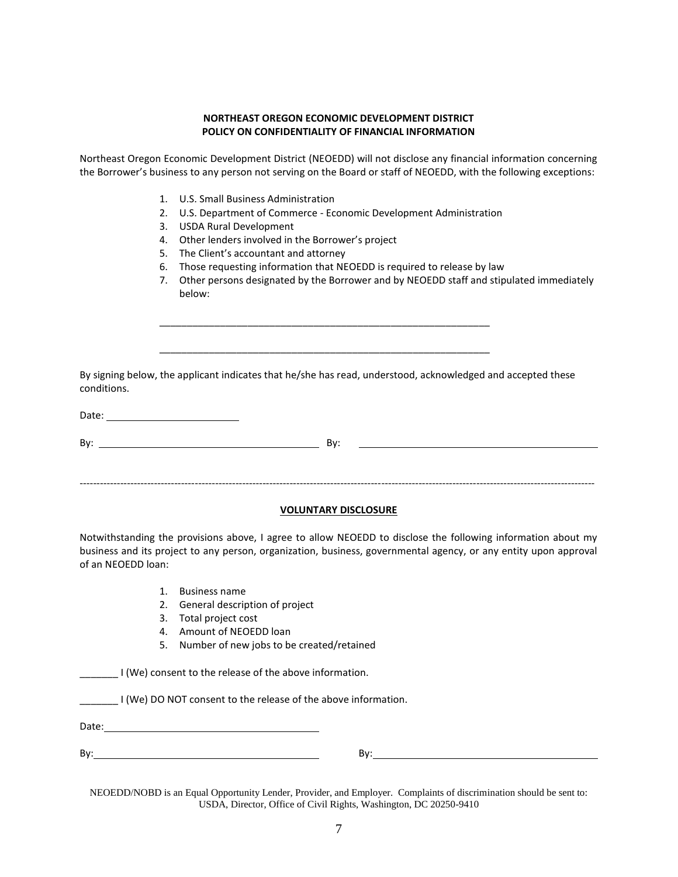#### **NORTHEAST OREGON ECONOMIC DEVELOPMENT DISTRICT POLICY ON CONFIDENTIALITY OF FINANCIAL INFORMATION**

Northeast Oregon Economic Development District (NEOEDD) will not disclose any financial information concerning the Borrower's business to any person not serving on the Board or staff of NEOEDD, with the following exceptions:

- 1. U.S. Small Business Administration
- 2. U.S. Department of Commerce Economic Development Administration
- 3. USDA Rural Development
- 4. Other lenders involved in the Borrower's project
- 5. The Client's accountant and attorney
- 6. Those requesting information that NEOEDD is required to release by law
- 7. Other persons designated by the Borrower and by NEOEDD staff and stipulated immediately below:

By signing below, the applicant indicates that he/she has read, understood, acknowledged and accepted these conditions.

\_\_\_\_\_\_\_\_\_\_\_\_\_\_\_\_\_\_\_\_\_\_\_\_\_\_\_\_\_\_\_\_\_\_\_\_\_\_\_\_\_\_\_\_\_\_\_\_\_\_\_\_\_\_\_\_\_\_\_\_

\_\_\_\_\_\_\_\_\_\_\_\_\_\_\_\_\_\_\_\_\_\_\_\_\_\_\_\_\_\_\_\_\_\_\_\_\_\_\_\_\_\_\_\_\_\_\_\_\_\_\_\_\_\_\_\_\_\_\_\_

Date: when the contract of the contract of the contract of the contract of the contract of the contract of the contract of the contract of the contract of the contract of the contract of the contract of the contract of the

By: By:

#### **VOLUNTARY DISCLOSURE**

--------------------------------------------------------------------------------------------------------------------------------------------------------

Notwithstanding the provisions above, I agree to allow NEOEDD to disclose the following information about my business and its project to any person, organization, business, governmental agency, or any entity upon approval of an NEOEDD loan:

- 1. Business name
- 2. General description of project
- 3. Total project cost
- 4. Amount of NEOEDD loan
- 5. Number of new jobs to be created/retained

I (We) consent to the release of the above information.

\_\_\_\_\_\_\_ I (We) DO NOT consent to the release of the above information.

Date: when the contract of the contract of the contract of the contract of the contract of the contract of the contract of the contract of the contract of the contract of the contract of the contract of the contract of the

By: By: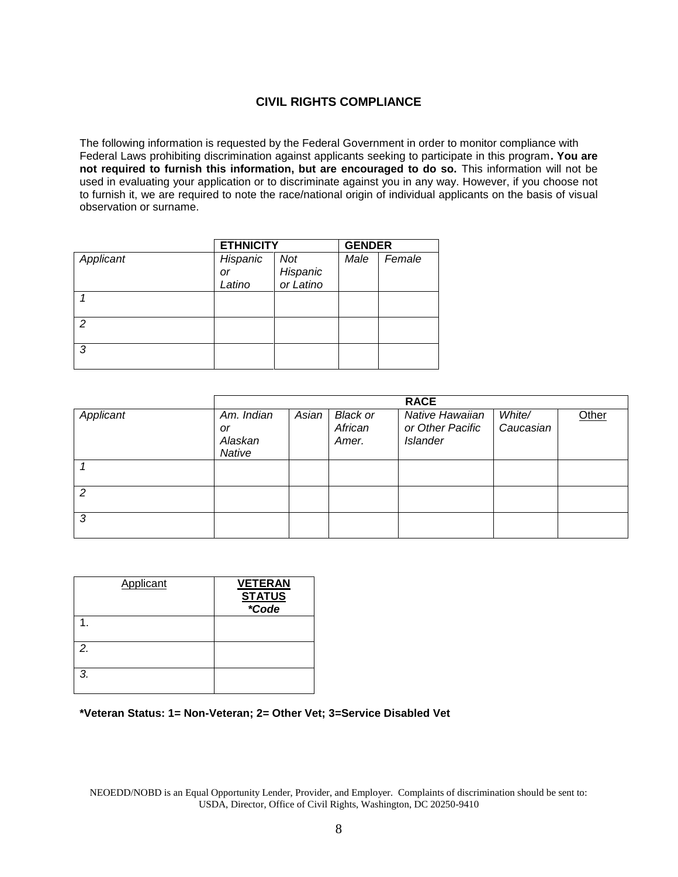## **CIVIL RIGHTS COMPLIANCE**

The following information is requested by the Federal Government in order to monitor compliance with Federal Laws prohibiting discrimination against applicants seeking to participate in this program**. You are not required to furnish this information, but are encouraged to do so.** This information will not be used in evaluating your application or to discriminate against you in any way. However, if you choose not to furnish it, we are required to note the race/national origin of individual applicants on the basis of visual observation or surname.

|               | <b>ETHNICITY</b> |                       | <b>GENDER</b> |        |
|---------------|------------------|-----------------------|---------------|--------|
| Applicant     | Hispanic         | Not                   | Male          | Female |
|               | or               | Hispanic<br>or Latino |               |        |
|               | Latino           |                       |               |        |
|               |                  |                       |               |        |
| $\mathcal{P}$ |                  |                       |               |        |
| 3             |                  |                       |               |        |

|           |                                       |       |                                     | <b>RACE</b>                                            |                     |       |
|-----------|---------------------------------------|-------|-------------------------------------|--------------------------------------------------------|---------------------|-------|
| Applicant | Am. Indian<br>or<br>Alaskan<br>Native | Asian | <b>Black or</b><br>African<br>Amer. | Native Hawaiian<br>or Other Pacific<br><b>Islander</b> | White/<br>Caucasian | Other |
|           |                                       |       |                                     |                                                        |                     |       |
| 2         |                                       |       |                                     |                                                        |                     |       |
| 3         |                                       |       |                                     |                                                        |                     |       |

| <b>Applicant</b> | <b>VETERAN</b><br><b>STATUS</b><br>*Code |
|------------------|------------------------------------------|
|                  |                                          |
| 2.               |                                          |
| 3.               |                                          |

#### **\*Veteran Status: 1= Non-Veteran; 2= Other Vet; 3=Service Disabled Vet**